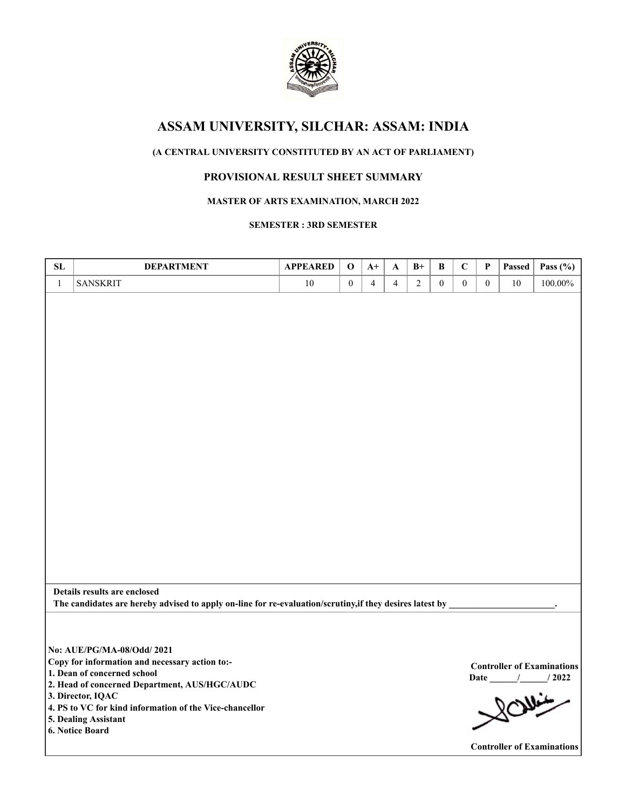

# **ASSAM UNIVERSITY, SILCHAR: ASSAM: INDIA**

# **(A CENTRAL UNIVERSITY CONSTITUTED BY AN ACT OF PARLIAMENT)**

## **PROVISIONAL RESULT SHEET SUMMARY**

### **MASTER OF ARTS EXAMINATION, MARCH 2022**

### **SEMESTER : 3RD SEMESTER**

| SL           | <b>DEPARTMENT</b>                                                                                                                                                                                                                            | <b>APPEARED</b> | $\mathbf 0$      | $A+$           | A              | $B+$           | $\, {\bf B}$   | $\mathbf C$      | P              | Passed | Pass $(\% )$                                             |
|--------------|----------------------------------------------------------------------------------------------------------------------------------------------------------------------------------------------------------------------------------------------|-----------------|------------------|----------------|----------------|----------------|----------------|------------------|----------------|--------|----------------------------------------------------------|
| $\mathbf{1}$ | <b>SANSKRIT</b>                                                                                                                                                                                                                              | 10              | $\boldsymbol{0}$ | $\overline{4}$ | $\overline{4}$ | $\overline{2}$ | $\overline{0}$ | $\boldsymbol{0}$ | $\overline{0}$ | 10     | 100.00%                                                  |
|              |                                                                                                                                                                                                                                              |                 |                  |                |                |                |                |                  |                |        |                                                          |
|              |                                                                                                                                                                                                                                              |                 |                  |                |                |                |                |                  |                |        |                                                          |
|              |                                                                                                                                                                                                                                              |                 |                  |                |                |                |                |                  |                |        |                                                          |
|              |                                                                                                                                                                                                                                              |                 |                  |                |                |                |                |                  |                |        |                                                          |
|              | Details results are enclosed                                                                                                                                                                                                                 |                 |                  |                |                |                |                |                  |                |        |                                                          |
|              | The candidates are hereby advised to apply on-line for re-evaluation/scrutiny, if they desires latest by                                                                                                                                     |                 |                  |                |                |                |                |                  |                |        |                                                          |
|              | No: AUE/PG/MA-08/Odd/ 2021<br>Copy for information and necessary action to:-<br>1. Dean of concerned school<br>2. Head of concerned Department, AUS/HGC/AUDC<br>3. Director, IQAC<br>4. PS to VC for kind information of the Vice-chancellor |                 |                  |                |                |                |                |                  |                |        | <b>Controller of Examinations</b><br>Date / / 2022<br>80 |
|              | 5. Dealing Assistant<br>6. Notice Board                                                                                                                                                                                                      |                 |                  |                |                |                |                |                  |                |        | <b>Controller of Examinations</b>                        |